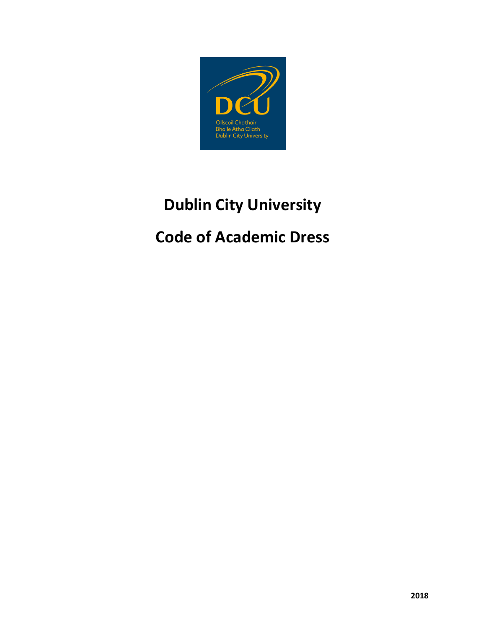

# **Dublin City University**

# **Code of Academic Dress**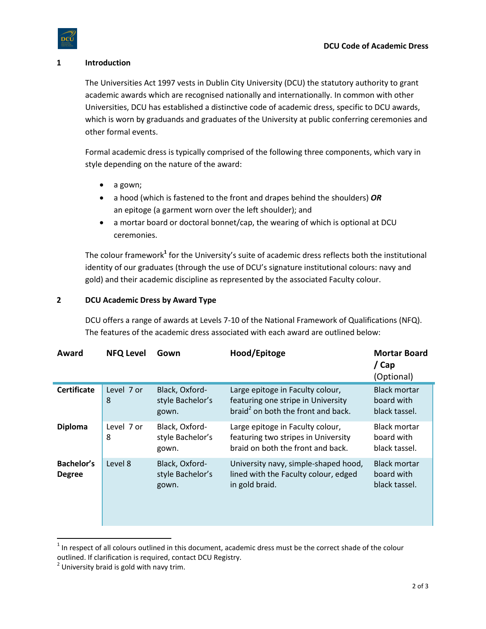#### **1 Introduction**

The Universities Act 1997 vests in Dublin City University (DCU) the statutory authority to grant academic awards which are recognised nationally and internationally. In common with other Universities, DCU has established a distinctive code of academic dress, specific to DCU awards, which is worn by graduands and graduates of the University at public conferring ceremonies and other formal events.

Formal academic dress is typically comprised of the following three components, which vary in style depending on the nature of the award:

- a gown;
- a hood (which is fastened to the front and drapes behind the shoulders) *OR* an epitoge (a garment worn over the left shoulder); and
- a mortar board or doctoral bonnet/cap, the wearing of which is optional at DCU ceremonies.

The colour framework<sup>1</sup> for the University's suite of academic dress reflects both the institutional identity of our graduates (through the use of DCU's signature institutional colours: navy and gold) and their academic discipline as represented by the associated Faculty colour.

#### **2 DCU Academic Dress by Award Type**

DCU offers a range of awards at Levels 7-10 of the National Framework of Qualifications (NFQ). The features of the academic dress associated with each award are outlined below:

| Award                       | <b>NFQ Level</b> | Gown                                        | Hood/Epitoge                                                                                                             | <b>Mortar Board</b><br>/ Cap<br>(Optional)         |
|-----------------------------|------------------|---------------------------------------------|--------------------------------------------------------------------------------------------------------------------------|----------------------------------------------------|
| <b>Certificate</b>          | Level 7 or<br>8  | Black, Oxford-<br>style Bachelor's<br>gown. | Large epitoge in Faculty colour,<br>featuring one stripe in University<br>braid <sup>2</sup> on both the front and back. | <b>Black mortar</b><br>board with<br>black tassel. |
| <b>Diploma</b>              | Level 7 or<br>8  | Black, Oxford-<br>style Bachelor's<br>gown. | Large epitoge in Faculty colour,<br>featuring two stripes in University<br>braid on both the front and back.             | <b>Black mortar</b><br>board with<br>black tassel. |
| Bachelor's<br><b>Degree</b> | Level 8          | Black, Oxford-<br>style Bachelor's<br>gown. | University navy, simple-shaped hood,<br>lined with the Faculty colour, edged<br>in gold braid.                           | <b>Black mortar</b><br>board with<br>black tassel. |

 $1$  In respect of all colours outlined in this document, academic dress must be the correct shade of the colour outlined. If clarification is required, contact DCU Registry.

 $\overline{a}$ 

 $2$  University braid is gold with navy trim.